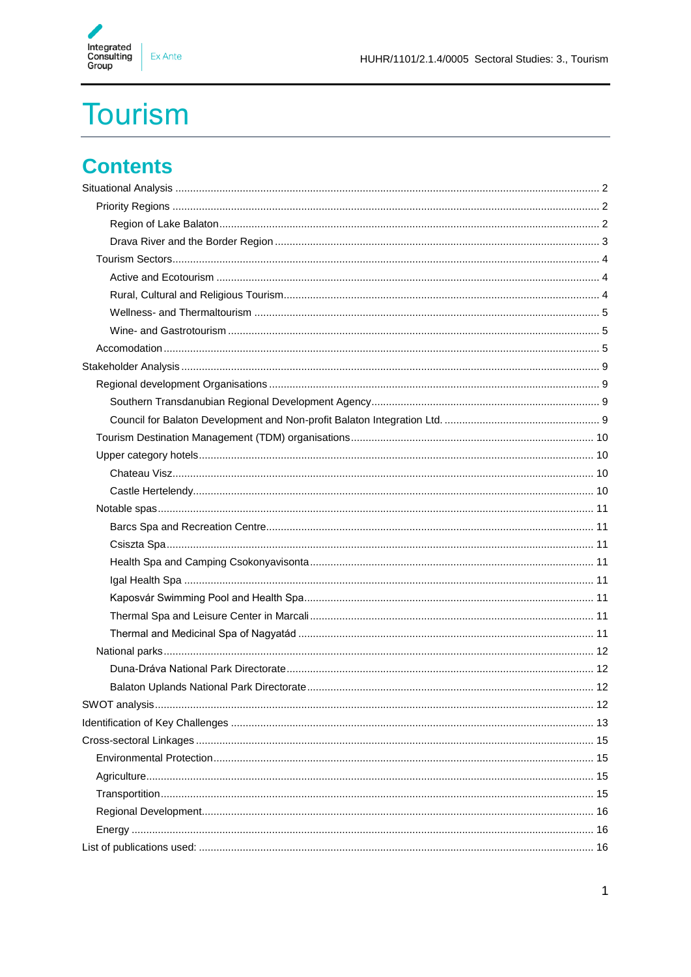

# **Tourism**

### **Contents**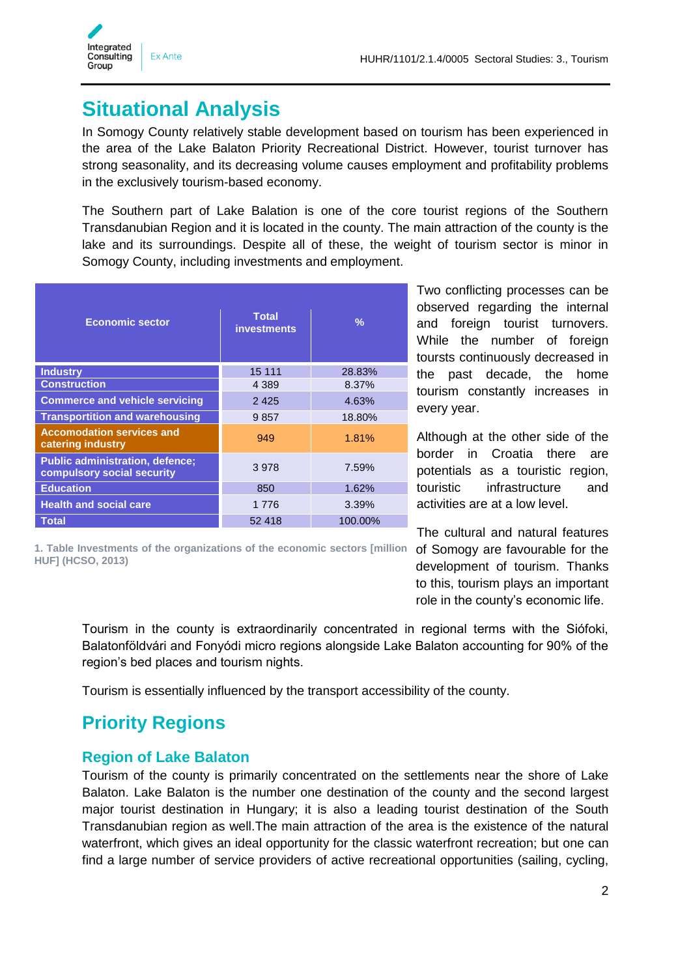

### <span id="page-1-0"></span>**Situational Analysis**

In Somogy County relatively stable development based on tourism has been experienced in the area of the Lake Balaton Priority Recreational District. However, tourist turnover has strong seasonality, and its decreasing volume causes employment and profitability problems in the exclusively tourism-based economy.

The Southern part of Lake Balation is one of the core tourist regions of the Southern Transdanubian Region and it is located in the county. The main attraction of the county is the lake and its surroundings. Despite all of these, the weight of tourism sector is minor in Somogy County, including investments and employment.

| <b>Economic sector</b>                                               | <b>Total</b><br><b>investments</b> | $\frac{9}{6}$ |
|----------------------------------------------------------------------|------------------------------------|---------------|
| <b>Industry</b>                                                      | 15 111                             | 28.83%        |
| <b>Construction</b>                                                  | 4 3 8 9                            | 8.37%         |
| <b>Commerce and vehicle servicing</b>                                | 2425                               | 4.63%         |
| <b>Transportition and warehousing</b>                                | 9857                               | 18.80%        |
| <b>Accomodation services and</b><br>catering industry                | 949                                | 1.81%         |
| <b>Public administration, defence;</b><br>compulsory social security | 3978                               | 7.59%         |
| <b>Education</b>                                                     | 850                                | 1.62%         |
| <b>Health and social care</b>                                        | 1 7 7 6                            | 3.39%         |
| Total                                                                | 52 418                             | 100.00%       |

**1. Table Investments of the organizations of the economic sectors [million HUF] (HCSO, 2013)**

Two conflicting processes can be observed regarding the internal and foreign tourist turnovers. While the number of foreign toursts continuously decreased in the past decade, the home tourism constantly increases in every year.

Although at the other side of the border in Croatia there are potentials as a touristic region, touristic infrastructure and activities are at a low level.

The cultural and natural features of Somogy are favourable for the development of tourism. Thanks to this, tourism plays an important role in the county's economic life.

Tourism in the county is extraordinarily concentrated in regional terms with the Siófoki, Balatonföldvári and Fonyódi micro regions alongside Lake Balaton accounting for 90% of the region's bed places and tourism nights.

Tourism is essentially influenced by the transport accessibility of the county.

### <span id="page-1-1"></span>**Priority Regions**

#### <span id="page-1-2"></span>**Region of Lake Balaton**

Tourism of the county is primarily concentrated on the settlements near the shore of Lake Balaton. Lake Balaton is the number one destination of the county and the second largest major tourist destination in Hungary; it is also a leading tourist destination of the South Transdanubian region as well.The main attraction of the area is the existence of the natural waterfront, which gives an ideal opportunity for the classic waterfront recreation; but one can find a large number of service providers of active recreational opportunities (sailing, cycling,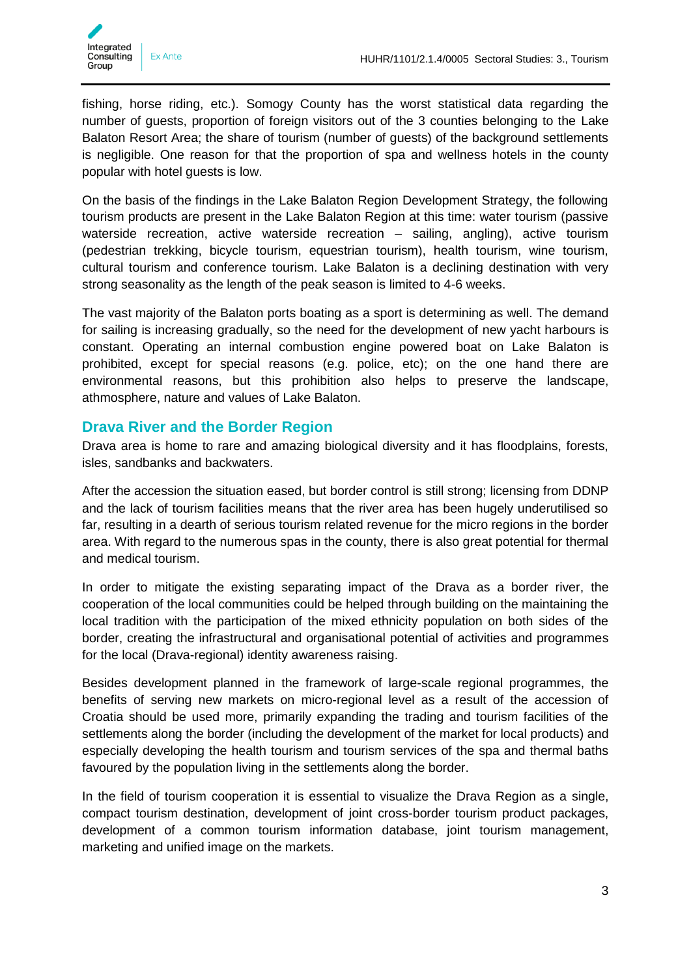

fishing, horse riding, etc.). Somogy County has the worst statistical data regarding the number of guests, proportion of foreign visitors out of the 3 counties belonging to the Lake Balaton Resort Area; the share of tourism (number of guests) of the background settlements is negligible. One reason for that the proportion of spa and wellness hotels in the county popular with hotel guests is low.

On the basis of the findings in the Lake Balaton Region Development Strategy, the following tourism products are present in the Lake Balaton Region at this time: water tourism (passive waterside recreation, active waterside recreation – sailing, angling), active tourism (pedestrian trekking, bicycle tourism, equestrian tourism), health tourism, wine tourism, cultural tourism and conference tourism. Lake Balaton is a declining destination with very strong seasonality as the length of the peak season is limited to 4-6 weeks.

The vast majority of the Balaton ports boating as a sport is determining as well. The demand for sailing is increasing gradually, so the need for the development of new yacht harbours is constant. Operating an internal combustion engine powered boat on Lake Balaton is prohibited, except for special reasons (e.g. police, etc); on the one hand there are environmental reasons, but this prohibition also helps to preserve the landscape, athmosphere, nature and values of Lake Balaton.

#### <span id="page-2-0"></span>**Drava River and the Border Region**

Drava area is home to rare and amazing biological diversity and it has floodplains, forests, isles, sandbanks and backwaters.

After the accession the situation eased, but border control is still strong; licensing from DDNP and the lack of tourism facilities means that the river area has been hugely underutilised so far, resulting in a dearth of serious tourism related revenue for the micro regions in the border area. With regard to the numerous spas in the county, there is also great potential for thermal and medical tourism.

In order to mitigate the existing separating impact of the Drava as a border river, the cooperation of the local communities could be helped through building on the maintaining the local tradition with the participation of the mixed ethnicity population on both sides of the border, creating the infrastructural and organisational potential of activities and programmes for the local (Drava-regional) identity awareness raising.

Besides development planned in the framework of large-scale regional programmes, the benefits of serving new markets on micro-regional level as a result of the accession of Croatia should be used more, primarily expanding the trading and tourism facilities of the settlements along the border (including the development of the market for local products) and especially developing the health tourism and tourism services of the spa and thermal baths favoured by the population living in the settlements along the border.

In the field of tourism cooperation it is essential to visualize the Drava Region as a single, compact tourism destination, development of joint cross-border tourism product packages, development of a common tourism information database, joint tourism management, marketing and unified image on the markets.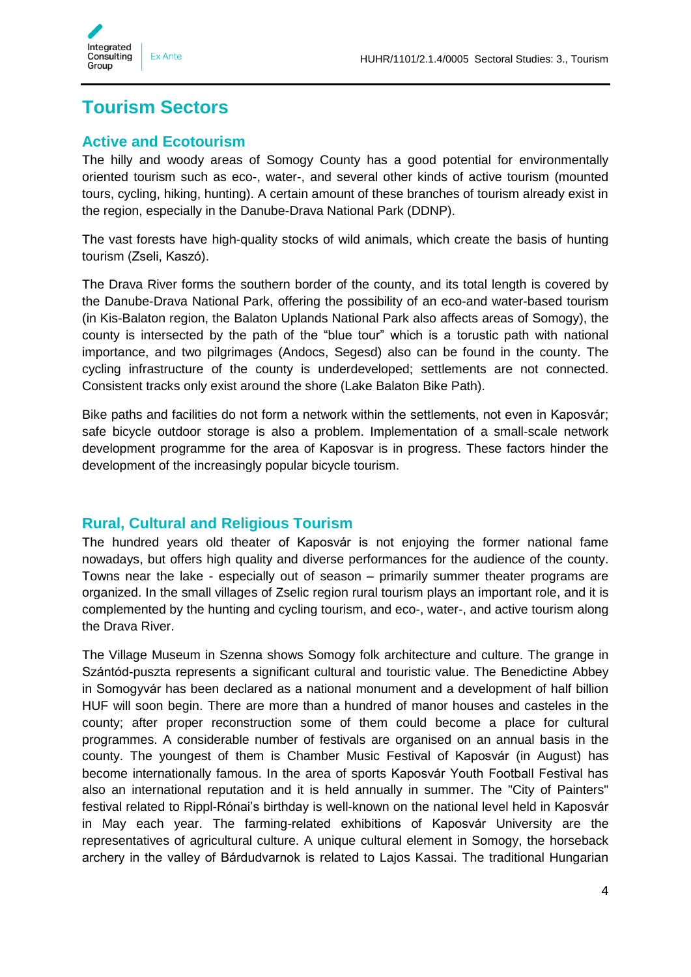

### <span id="page-3-0"></span>**Tourism Sectors**

#### <span id="page-3-1"></span>**Active and Ecotourism**

The hilly and woody areas of Somogy County has a good potential for environmentally oriented tourism such as eco-, water-, and several other kinds of active tourism (mounted tours, cycling, hiking, hunting). A certain amount of these branches of tourism already exist in the region, especially in the Danube-Drava National Park (DDNP).

The vast forests have high-quality stocks of wild animals, which create the basis of hunting tourism (Zseli, Kaszó).

The Drava River forms the southern border of the county, and its total length is covered by the Danube-Drava National Park, offering the possibility of an eco-and water-based tourism (in Kis-Balaton region, the Balaton Uplands National Park also affects areas of Somogy), the county is intersected by the path of the "blue tour" which is a torustic path with national importance, and two pilgrimages (Andocs, Segesd) also can be found in the county. The cycling infrastructure of the county is underdeveloped; settlements are not connected. Consistent tracks only exist around the shore (Lake Balaton Bike Path).

Bike paths and facilities do not form a network within the settlements, not even in Kaposvár; safe bicycle outdoor storage is also a problem. Implementation of a small-scale network development programme for the area of Kaposvar is in progress. These factors hinder the development of the increasingly popular bicycle tourism.

#### <span id="page-3-2"></span>**Rural, Cultural and Religious Tourism**

The hundred years old theater of Kaposvár is not enjoying the former national fame nowadays, but offers high quality and diverse performances for the audience of the county. Towns near the lake - especially out of season – primarily summer theater programs are organized. In the small villages of Zselic region rural tourism plays an important role, and it is complemented by the hunting and cycling tourism, and eco-, water-, and active tourism along the Drava River.

The Village Museum in Szenna shows Somogy folk architecture and culture. The grange in Szántód-puszta represents a significant cultural and touristic value. The Benedictine Abbey in Somogyvár has been declared as a national monument and a development of half billion HUF will soon begin. There are more than a hundred of manor houses and casteles in the county; after proper reconstruction some of them could become a place for cultural programmes. A considerable number of festivals are organised on an annual basis in the county. The youngest of them is Chamber Music Festival of Kaposvár (in August) has become internationally famous. In the area of sports Kaposvár Youth Football Festival has also an international reputation and it is held annually in summer. The "City of Painters" festival related to Rippl-Rónai's birthday is well-known on the national level held in Kaposvár in May each year. The farming-related exhibitions of Kaposvár University are the representatives of agricultural culture. A unique cultural element in Somogy, the horseback archery in the valley of Bárdudvarnok is related to Lajos Kassai. The traditional Hungarian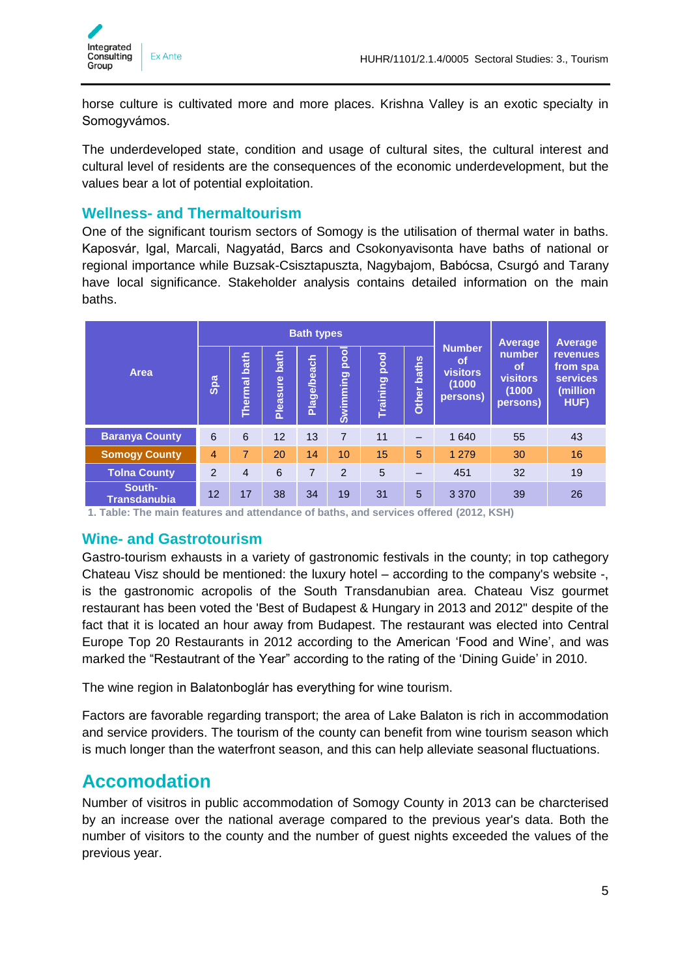

horse culture is cultivated more and more places. Krishna Valley is an exotic specialty in Somogyvámos.

The underdeveloped state, condition and usage of cultural sites, the cultural interest and cultural level of residents are the consequences of the economic underdevelopment, but the values bear a lot of potential exploitation.

#### <span id="page-4-0"></span>**Wellness- and Thermaltourism**

One of the significant tourism sectors of Somogy is the utilisation of thermal water in baths. Kaposvár, Igal, Marcali, Nagyatád, Barcs and Csokonyavisonta have baths of national or regional importance while Buzsak-Csisztapuszta, Nagybajom, Babócsa, Csurgó and Tarany have local significance. Stakeholder analysis contains detailed information on the main baths.

| <b>Bath types</b>             |                |                        |                  |             |                         |                         | Average               | Average                                                             |                                                              |                                                                    |
|-------------------------------|----------------|------------------------|------------------|-------------|-------------------------|-------------------------|-----------------------|---------------------------------------------------------------------|--------------------------------------------------------------|--------------------------------------------------------------------|
| <b>Area</b>                   | Spa            | bath<br><b>Thermal</b> | bath<br>Pleasure | Plage/beach | pool<br><b>Swimming</b> | pool<br><b>Training</b> | <b>baths</b><br>Other | <b>Number</b><br><b>of</b><br><b>visitors</b><br>(1000)<br>persons) | number<br><b>of</b><br><b>visitors</b><br>(1000)<br>persons) | <b>revenues</b><br>from spa<br><b>services</b><br>(million<br>HUF) |
| <b>Baranya County</b>         | 6              | 6                      | 12               | 13          | 7                       | 11                      | —                     | 1 640                                                               | 55                                                           | 43                                                                 |
| <b>Somogy County</b>          | $\overline{4}$ | $\overline{7}$         | 20               | 14          | 10                      | 15                      | 5                     | 1 2 7 9                                                             | 30                                                           | 16                                                                 |
| <b>Tolna County</b>           | 2              | $\overline{4}$         | 6                | 7           | $\mathfrak{p}$          | 5                       |                       | 451                                                                 | 32                                                           | 19                                                                 |
| South-<br><b>Transdanubia</b> | 12             | 17                     | 38               | 34          | 19                      | 31                      | 5                     | 3 3 7 0                                                             | 39                                                           | 26                                                                 |

**1. Table: The main features and attendance of baths, and services offered (2012, KSH)**

#### <span id="page-4-1"></span>**Wine- and Gastrotourism**

Gastro-tourism exhausts in a variety of gastronomic festivals in the county; in top cathegory Chateau Visz should be mentioned: the luxury hotel – according to the company's website -, is the gastronomic acropolis of the South Transdanubian area. Chateau Visz gourmet restaurant has been voted the 'Best of Budapest & Hungary in 2013 and 2012" despite of the fact that it is located an hour away from Budapest. The restaurant was elected into Central Europe Top 20 Restaurants in 2012 according to the American 'Food and Wine', and was marked the "Restautrant of the Year" according to the rating of the 'Dining Guide' in 2010.

The wine region in Balatonboglár has everything for wine tourism.

Factors are favorable regarding transport; the area of Lake Balaton is rich in accommodation and service providers. The tourism of the county can benefit from wine tourism season which is much longer than the waterfront season, and this can help alleviate seasonal fluctuations.

#### <span id="page-4-2"></span>**Accomodation**

Number of visitros in public accommodation of Somogy County in 2013 can be charcterised by an increase over the national average compared to the previous year's data. Both the number of visitors to the county and the number of guest nights exceeded the values of the previous year.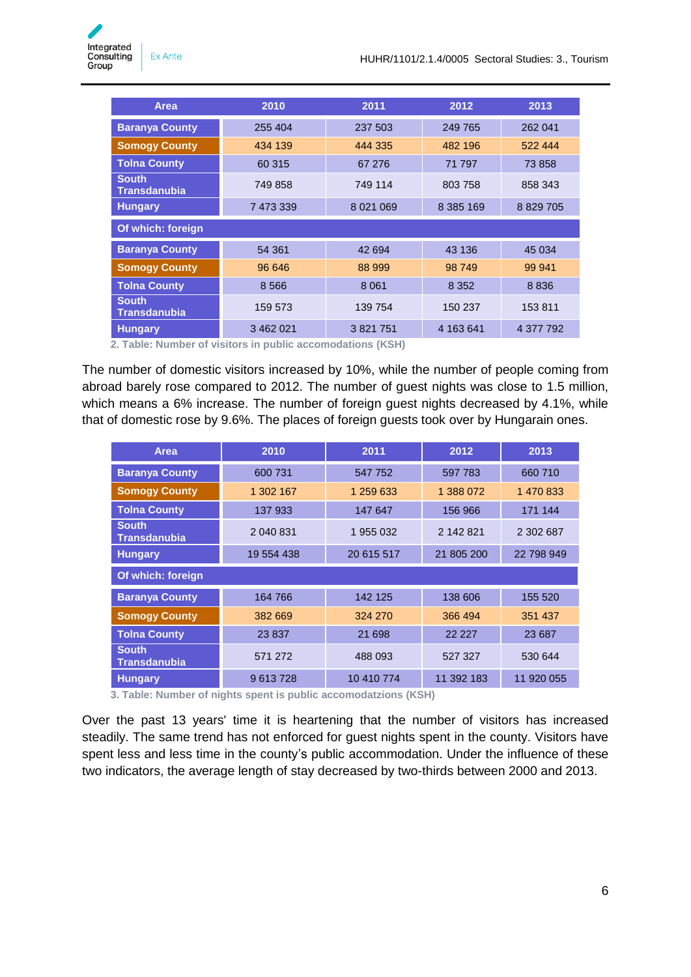| Area                                | 2010      | 2011        | 2012      | 2013         |  |
|-------------------------------------|-----------|-------------|-----------|--------------|--|
| <b>Baranya County</b>               | 255 404   | 237 503     | 249 765   | 262 041      |  |
| <b>Somogy County</b>                | 434 139   | 444 335     | 482 196   | 522 444      |  |
| <b>Tolna County</b>                 | 60 315    | 67 276      | 71 797    | 73 858       |  |
| <b>South</b><br><b>Transdanubia</b> | 749 858   | 749 114     | 803 758   | 858 343      |  |
| <b>Hungary</b>                      | 7 473 339 | 8 0 21 0 69 | 8 385 169 | 8 8 29 7 0 5 |  |
| Of which: foreign                   |           |             |           |              |  |
| <b>Baranya County</b>               | 54 361    | 42 694      | 43 136    | 45 0 34      |  |
| <b>Somogy County</b>                | 96 646    | 88 999      | 98 749    | 99 941       |  |
| <b>Tolna County</b>                 | 8 5 6 6   | 8 0 6 1     | 8 3 5 2   | 8836         |  |
| <b>South</b><br><b>Transdanubia</b> | 159 573   | 139 754     | 150 237   | 153811       |  |
| <b>Hungary</b>                      | 3 462 021 | 3821751     | 4 163 641 | 4 377 792    |  |

**2. Table: Number of visitors in public accomodations (KSH)**

The number of domestic visitors increased by 10%, while the number of people coming from abroad barely rose compared to 2012. The number of guest nights was close to 1.5 million, which means a 6% increase. The number of foreign guest nights decreased by 4.1%, while that of domestic rose by 9.6%. The places of foreign guests took over by Hungarain ones.

| <b>Area</b>                         | 2010       | 2011       | 2012       | 2013       |
|-------------------------------------|------------|------------|------------|------------|
| <b>Baranya County</b>               | 600 731    | 547 752    | 597 783    | 660 710    |
| <b>Somogy County</b>                | 1 302 167  | 1 259 633  | 1 388 072  | 1 470 833  |
| <b>Tolna County</b>                 | 137 933    | 147 647    | 156 966    | 171 144    |
| <b>South</b><br><b>Transdanubia</b> | 2 040 831  | 1955032    | 2 142 821  | 2 302 687  |
| <b>Hungary</b>                      | 19 554 438 | 20 615 517 | 21 805 200 | 22 798 949 |
| Of which: foreign                   |            |            |            |            |
| <b>Baranya County</b>               | 164 766    | 142 125    | 138 606    | 155 520    |
| <b>Somogy County</b>                | 382 669    | 324 270    | 366 494    | 351 437    |
| <b>Tolna County</b>                 | 23 837     | 21 698     | 22 2 2 7   | 23 687     |
| <b>South</b><br><b>Transdanubia</b> | 571 272    | 488 093    | 527 327    | 530 644    |
| <b>Hungary</b>                      | 9613728    | 10 410 774 | 11 392 183 | 11 920 055 |

**3. Table: Number of nights spent is public accomodatzions (KSH)**

Over the past 13 years' time it is heartening that the number of visitors has increased steadily. The same trend has not enforced for guest nights spent in the county. Visitors have spent less and less time in the county's public accommodation. Under the influence of these two indicators, the average length of stay decreased by two-thirds between 2000 and 2013.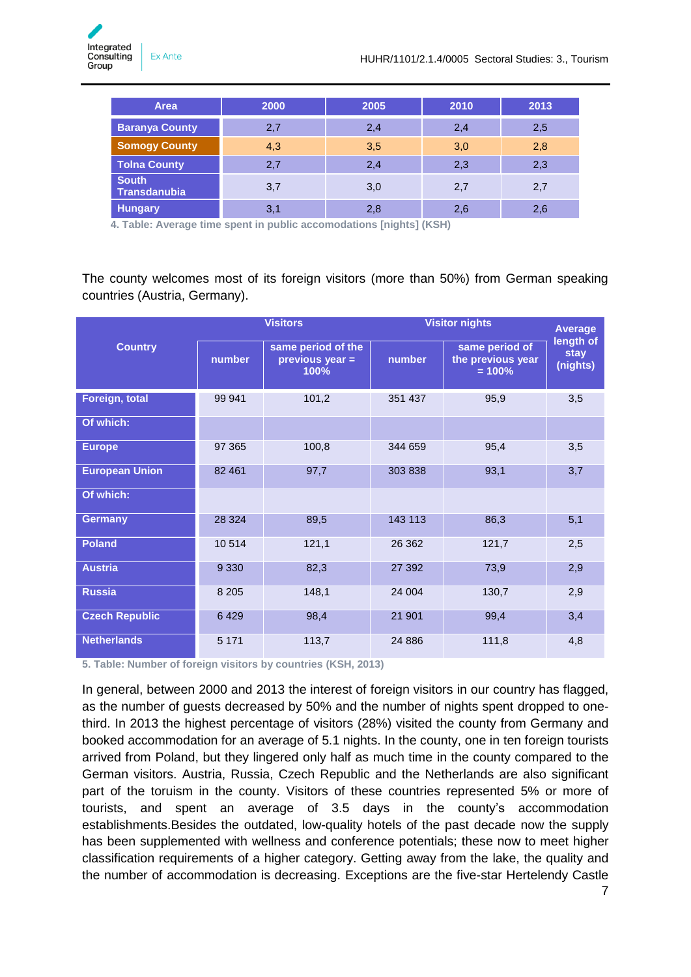| Area                         | 2000 | 2005 | 2010 | 2013 |
|------------------------------|------|------|------|------|
| <b>Baranya County</b>        | 2,7  | 2,4  | 2,4  | 2,5  |
| <b>Somogy County</b>         | 4,3  | 3,5  | 3,0  | 2,8  |
| <b>Tolna County</b>          | 2,7  | 2,4  | 2,3  | 2,3  |
| <b>South</b><br>Transdanubia | 3,7  | 3,0  | 2,7  | 2,7  |
| <b>Hungary</b>               | 3,1  | 2,8  | 2,6  | 2,6  |

**4. Table: Average time spent in public accomodations [nights] (KSH)**

The county welcomes most of its foreign visitors (more than 50%) from German speaking countries (Austria, Germany).

|                       |         | <b>Visitors</b>                               | <b>Visitor nights</b> | <b>Average</b>                                  |                               |
|-----------------------|---------|-----------------------------------------------|-----------------------|-------------------------------------------------|-------------------------------|
| <b>Country</b>        | number  | same period of the<br>previous year =<br>100% | number                | same period of<br>the previous year<br>$= 100%$ | length of<br>stay<br>(nights) |
| Foreign, total        | 99 941  | 101,2                                         | 351 437               | 95,9                                            | 3,5                           |
| Of which:             |         |                                               |                       |                                                 |                               |
| <b>Europe</b>         | 97 365  | 100,8                                         | 344 659               | 95,4                                            | 3,5                           |
| <b>European Union</b> | 82 461  | 97,7                                          | 303 838               | 93,1                                            | 3,7                           |
| Of which:             |         |                                               |                       |                                                 |                               |
| <b>Germany</b>        | 28 3 24 | 89,5                                          | 143 113               | 86,3                                            | 5,1                           |
| <b>Poland</b>         | 10514   | 121,1                                         | 26 362                | 121,7                                           | 2,5                           |
| <b>Austria</b>        | 9 3 3 0 | 82,3                                          | 27 392                | 73,9                                            | 2,9                           |
| <b>Russia</b>         | 8 2 0 5 | 148,1                                         | 24 004                | 130,7                                           | 2,9                           |
| <b>Czech Republic</b> | 6429    | 98,4                                          | 21 901                | 99,4                                            | 3,4                           |
| <b>Netherlands</b>    | 5 1 7 1 | 113,7                                         | 24 8 86               | 111,8                                           | 4,8                           |

**5. Table: Number of foreign visitors by countries (KSH, 2013)**

In general, between 2000 and 2013 the interest of foreign visitors in our country has flagged, as the number of guests decreased by 50% and the number of nights spent dropped to onethird. In 2013 the highest percentage of visitors (28%) visited the county from Germany and booked accommodation for an average of 5.1 nights. In the county, one in ten foreign tourists arrived from Poland, but they lingered only half as much time in the county compared to the German visitors. Austria, Russia, Czech Republic and the Netherlands are also significant part of the toruism in the county. Visitors of these countries represented 5% or more of tourists, and spent an average of 3.5 days in the county's accommodation establishments.Besides the outdated, low-quality hotels of the past decade now the supply has been supplemented with wellness and conference potentials; these now to meet higher classification requirements of a higher category. Getting away from the lake, the quality and the number of accommodation is decreasing. Exceptions are the five-star Hertelendy Castle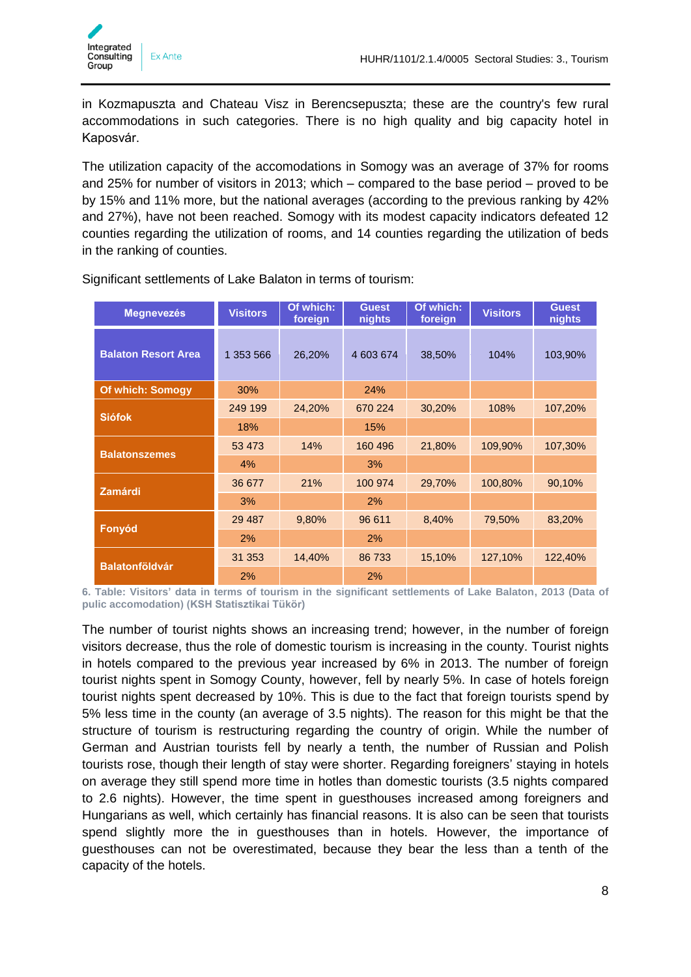

in Kozmapuszta and Chateau Visz in Berencsepuszta; these are the country's few rural accommodations in such categories. There is no high quality and big capacity hotel in Kaposvár.

The utilization capacity of the accomodations in Somogy was an average of 37% for rooms and 25% for number of visitors in 2013; which – compared to the base period – proved to be by 15% and 11% more, but the national averages (according to the previous ranking by 42% and 27%), have not been reached. Somogy with its modest capacity indicators defeated 12 counties regarding the utilization of rooms, and 14 counties regarding the utilization of beds in the ranking of counties.

| <b>Megnevezés</b>          | <b>Visitors</b> | Of which:<br>foreign | <b>Guest</b><br>nights | Of which:<br>foreign | <b>Visitors</b> | <b>Guest</b><br>nights |
|----------------------------|-----------------|----------------------|------------------------|----------------------|-----------------|------------------------|
| <b>Balaton Resort Area</b> | 1 353 566       | 26,20%               | 4 603 674              | 38,50%               | 104%            | 103,90%                |
| <b>Of which: Somogy</b>    | 30%             |                      | 24%                    |                      |                 |                        |
| <b>Siófok</b>              | 249 199         | 24,20%               | 670 224                | 30,20%               | 108%            | 107,20%                |
|                            | 18%             |                      | 15%                    |                      |                 |                        |
| <b>Balatonszemes</b>       | 53 473          | 14%                  | 160 496                | 21,80%               | 109,90%         | 107,30%                |
|                            | 4%              |                      | 3%                     |                      |                 |                        |
| <b>Zamárdi</b>             | 36 677          | 21%                  | 100 974                | 29,70%               | 100,80%         | 90,10%                 |
|                            | 3%              |                      | 2%                     |                      |                 |                        |
|                            | 29 4 8 7        | 9,80%                | 96 611                 | 8,40%                | 79,50%          | 83,20%                 |
| Fonyód                     | 2%              |                      | 2%                     |                      |                 |                        |
| <b>Balatonföldvár</b>      | 31 353          | 14,40%               | 86 733                 | 15,10%               | 127,10%         | 122,40%                |
|                            | 2%              |                      | 2%                     |                      |                 |                        |

Significant settlements of Lake Balaton in terms of tourism:

**6. Table: Visitors' data in terms of tourism in the significant settlements of Lake Balaton, 2013 (Data of pulic accomodation) (KSH Statisztikai Tükör)**

The number of tourist nights shows an increasing trend; however, in the number of foreign visitors decrease, thus the role of domestic tourism is increasing in the county. Tourist nights in hotels compared to the previous year increased by 6% in 2013. The number of foreign tourist nights spent in Somogy County, however, fell by nearly 5%. In case of hotels foreign tourist nights spent decreased by 10%. This is due to the fact that foreign tourists spend by 5% less time in the county (an average of 3.5 nights). The reason for this might be that the structure of tourism is restructuring regarding the country of origin. While the number of German and Austrian tourists fell by nearly a tenth, the number of Russian and Polish tourists rose, though their length of stay were shorter. Regarding foreigners' staying in hotels on average they still spend more time in hotles than domestic tourists (3.5 nights compared to 2.6 nights). However, the time spent in guesthouses increased among foreigners and Hungarians as well, which certainly has financial reasons. It is also can be seen that tourists spend slightly more the in guesthouses than in hotels. However, the importance of guesthouses can not be overestimated, because they bear the less than a tenth of the capacity of the hotels.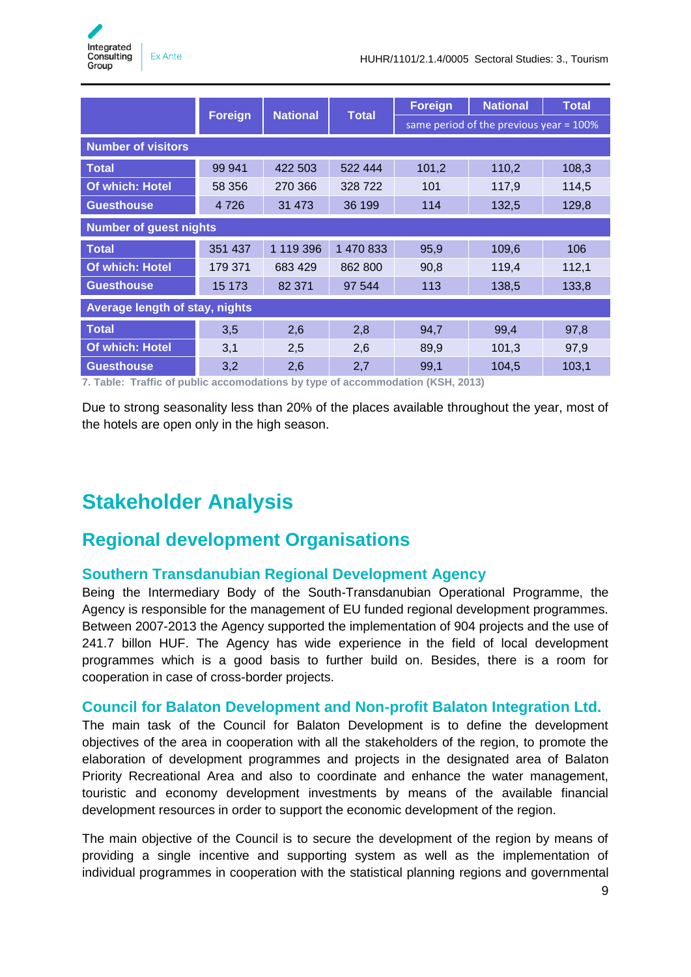

|                                |                |                 |              | <b>Foreign</b>                             | <b>National</b> | <b>Total</b> |  |  |
|--------------------------------|----------------|-----------------|--------------|--------------------------------------------|-----------------|--------------|--|--|
|                                | <b>Foreign</b> | <b>National</b> | <b>Total</b> | same period of the previous year $= 100\%$ |                 |              |  |  |
| <b>Number of visitors</b>      |                |                 |              |                                            |                 |              |  |  |
| <b>Total</b>                   | 99 941         | 422 503         | 522 444      | 101,2                                      | 110,2           | 108,3        |  |  |
| Of which: Hotel                | 58 356         | 270 366         | 328 722      | 101                                        | 117,9           | 114,5        |  |  |
| <b>Guesthouse</b>              | 4 7 2 6        | 31 473          | 36 199       | 114                                        | 132,5           | 129,8        |  |  |
| <b>Number of guest nights</b>  |                |                 |              |                                            |                 |              |  |  |
| <b>Total</b>                   | 351 437        | 1 119 396       | 1 470 833    | 95,9                                       | 109,6           | 106          |  |  |
| Of which: Hotel                | 179 371        | 683 429         | 862 800      | 90,8                                       | 119,4           | 112,1        |  |  |
| <b>Guesthouse</b>              | 15 173         | 82 371          | 97 544       | 113                                        | 138,5           | 133,8        |  |  |
| Average length of stay, nights |                |                 |              |                                            |                 |              |  |  |
| <b>Total</b>                   | 3,5            | 2,6             | 2,8          | 94,7                                       | 99,4            | 97,8         |  |  |
| Of which: Hotel                | 3,1            | 2,5             | 2,6          | 89,9                                       | 101,3           | 97,9         |  |  |
| <b>Guesthouse</b>              | 3,2            | 2,6             | 2,7          | 99,1                                       | 104,5           | 103,1        |  |  |

**7. Table: Traffic of public accomodations by type of accommodation (KSH, 2013)**

Due to strong seasonality less than 20% of the places available throughout the year, most of the hotels are open only in the high season.

### <span id="page-8-0"></span>**Stakeholder Analysis**

### <span id="page-8-1"></span>**Regional development Organisations**

#### <span id="page-8-2"></span>**Southern Transdanubian Regional Development Agency**

Being the Intermediary Body of the South-Transdanubian Operational Programme, the Agency is responsible for the management of EU funded regional development programmes. Between 2007-2013 the Agency supported the implementation of 904 projects and the use of 241.7 billon HUF. The Agency has wide experience in the field of local development programmes which is a good basis to further build on. Besides, there is a room for cooperation in case of cross-border projects.

#### <span id="page-8-3"></span>**Council for Balaton Development and Non-profit Balaton Integration Ltd.**

The main task of the Council for Balaton Development is to define the development objectives of the area in cooperation with all the stakeholders of the region, to promote the elaboration of development programmes and projects in the designated area of Balaton Priority Recreational Area and also to coordinate and enhance the water management, touristic and economy development investments by means of the available financial development resources in order to support the economic development of the region.

The main objective of the Council is to secure the development of the region by means of providing a single incentive and supporting system as well as the implementation of individual programmes in cooperation with the statistical planning regions and governmental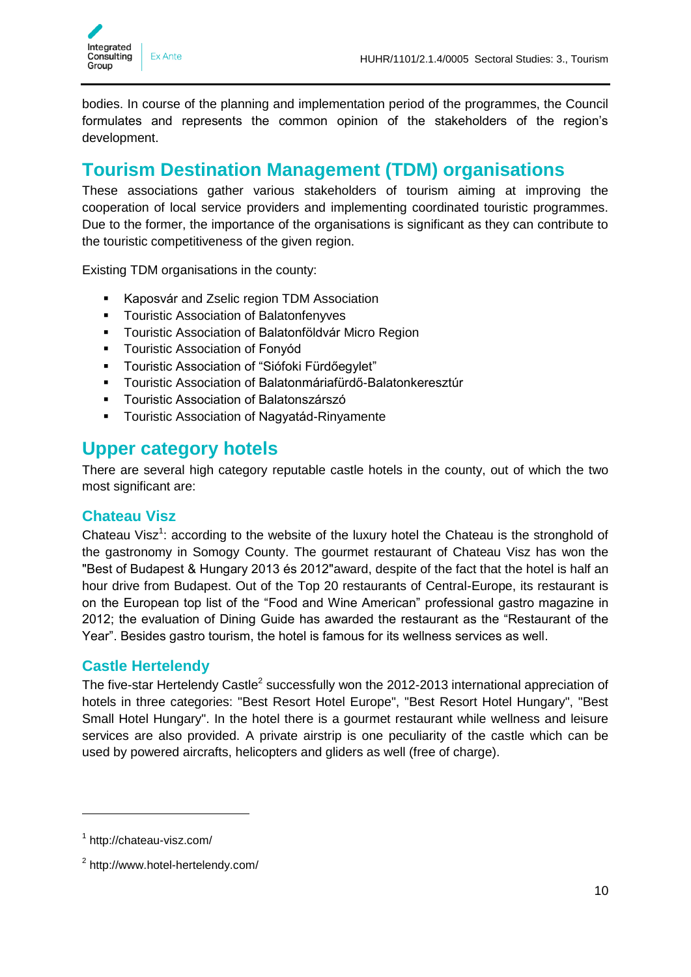

bodies. In course of the planning and implementation period of the programmes, the Council formulates and represents the common opinion of the stakeholders of the region's development.

### <span id="page-9-0"></span>**Tourism Destination Management (TDM) organisations**

These associations gather various stakeholders of tourism aiming at improving the cooperation of local service providers and implementing coordinated touristic programmes. Due to the former, the importance of the organisations is significant as they can contribute to the touristic competitiveness of the given region.

Existing TDM organisations in the county:

- **Kaposvár and Zselic region TDM Association**
- **Touristic Association of Balatonfenyves**
- **-** Touristic Association of Balatonföldvár Micro Region
- **Touristic Association of Fonyód**
- Touristic Association of "Siófoki Fürdőegylet"
- Touristic Association of Balatonmáriafürdő-Balatonkeresztúr
- **Touristic Association of Balatonszárszó**
- **Touristic Association of Nagyatád-Rinyamente**

### <span id="page-9-1"></span>**Upper category hotels**

There are several high category reputable castle hotels in the county, out of which the two most significant are:

#### <span id="page-9-2"></span>**Chateau Visz**

Chateau Visz<sup>1</sup>: according to the website of the luxury hotel the Chateau is the stronghold of the gastronomy in Somogy County. The gourmet restaurant of Chateau Visz has won the "Best of Budapest & Hungary 2013 és 2012"award, despite of the fact that the hotel is half an hour drive from Budapest. Out of the Top 20 restaurants of Central-Europe, its restaurant is on the European top list of the "Food and Wine American" professional gastro magazine in 2012; the evaluation of Dining Guide has awarded the restaurant as the "Restaurant of the Year". Besides gastro tourism, the hotel is famous for its wellness services as well.

#### <span id="page-9-3"></span>**Castle Hertelendy**

The five-star Hertelendy Castle<sup>2</sup> successfully won the 2012-2013 international appreciation of hotels in three categories: "Best Resort Hotel Europe", "Best Resort Hotel Hungary", "Best Small Hotel Hungary". In the hotel there is a gourmet restaurant while wellness and leisure services are also provided. A private airstrip is one peculiarity of the castle which can be used by powered aircrafts, helicopters and gliders as well (free of charge).

-

<sup>1</sup> http://chateau-visz.com/

<sup>&</sup>lt;sup>2</sup> http://www.hotel-hertelendy.com/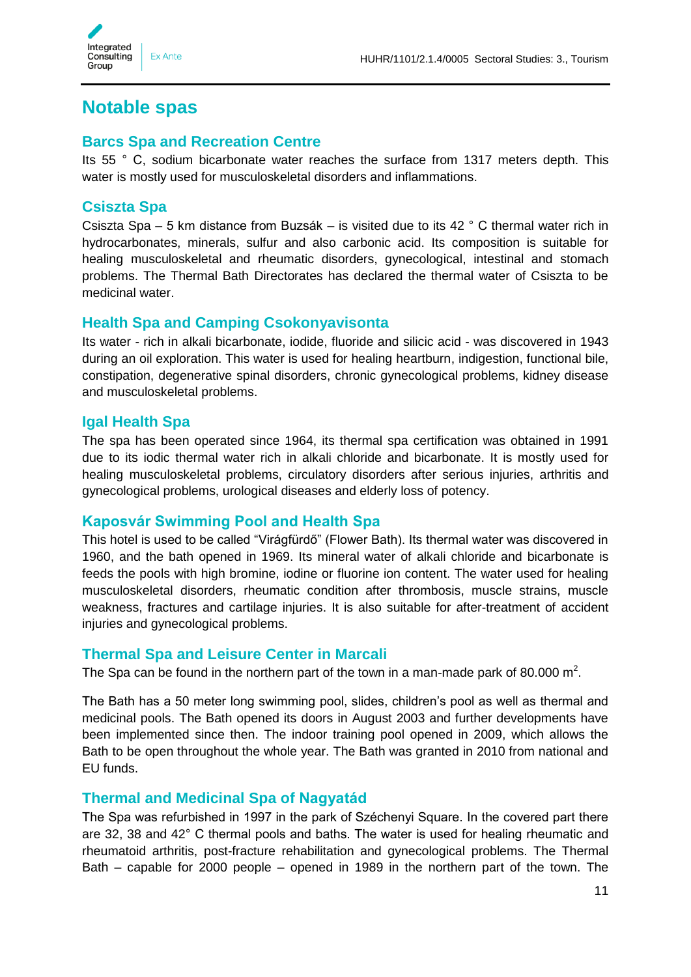

### <span id="page-10-0"></span>**Notable spas**

#### <span id="page-10-1"></span>**Barcs Spa and Recreation Centre**

Its 55 ° C, sodium bicarbonate water reaches the surface from 1317 meters depth. This water is mostly used for musculoskeletal disorders and inflammations.

#### <span id="page-10-2"></span>**Csiszta Spa**

Csiszta Spa – 5 km distance from Buzsák – is visited due to its 42 ° C thermal water rich in hydrocarbonates, minerals, sulfur and also carbonic acid. Its composition is suitable for healing musculoskeletal and rheumatic disorders, gynecological, intestinal and stomach problems. The Thermal Bath Directorates has declared the thermal water of Csiszta to be medicinal water.

#### <span id="page-10-3"></span>**Health Spa and Camping Csokonyavisonta**

Its water - rich in alkali bicarbonate, iodide, fluoride and silicic acid - was discovered in 1943 during an oil exploration. This water is used for healing heartburn, indigestion, functional bile, constipation, degenerative spinal disorders, chronic gynecological problems, kidney disease and musculoskeletal problems.

#### <span id="page-10-4"></span>**Igal Health Spa**

The spa has been operated since 1964, its thermal spa certification was obtained in 1991 due to its iodic thermal water rich in alkali chloride and bicarbonate. It is mostly used for healing musculoskeletal problems, circulatory disorders after serious injuries, arthritis and gynecological problems, urological diseases and elderly loss of potency.

#### <span id="page-10-5"></span>**Kaposvár Swimming Pool and Health Spa**

This hotel is used to be called "Virágfürdő" (Flower Bath). Its thermal water was discovered in 1960, and the bath opened in 1969. Its mineral water of alkali chloride and bicarbonate is feeds the pools with high bromine, iodine or fluorine ion content. The water used for healing musculoskeletal disorders, rheumatic condition after thrombosis, muscle strains, muscle weakness, fractures and cartilage injuries. It is also suitable for after-treatment of accident injuries and gynecological problems.

#### <span id="page-10-6"></span>**Thermal Spa and Leisure Center in Marcali**

The Spa can be found in the northern part of the town in a man-made park of 80.000  $m^2$ .

The Bath has a 50 meter long swimming pool, slides, children's pool as well as thermal and medicinal pools. The Bath opened its doors in August 2003 and further developments have been implemented since then. The indoor training pool opened in 2009, which allows the Bath to be open throughout the whole year. The Bath was granted in 2010 from national and EU funds.

#### <span id="page-10-7"></span>**Thermal and Medicinal Spa of Nagyatád**

The Spa was refurbished in 1997 in the park of Széchenyi Square. In the covered part there are 32, 38 and 42° C thermal pools and baths. The water is used for healing rheumatic and rheumatoid arthritis, post-fracture rehabilitation and gynecological problems. The Thermal Bath – capable for 2000 people – opened in 1989 in the northern part of the town. The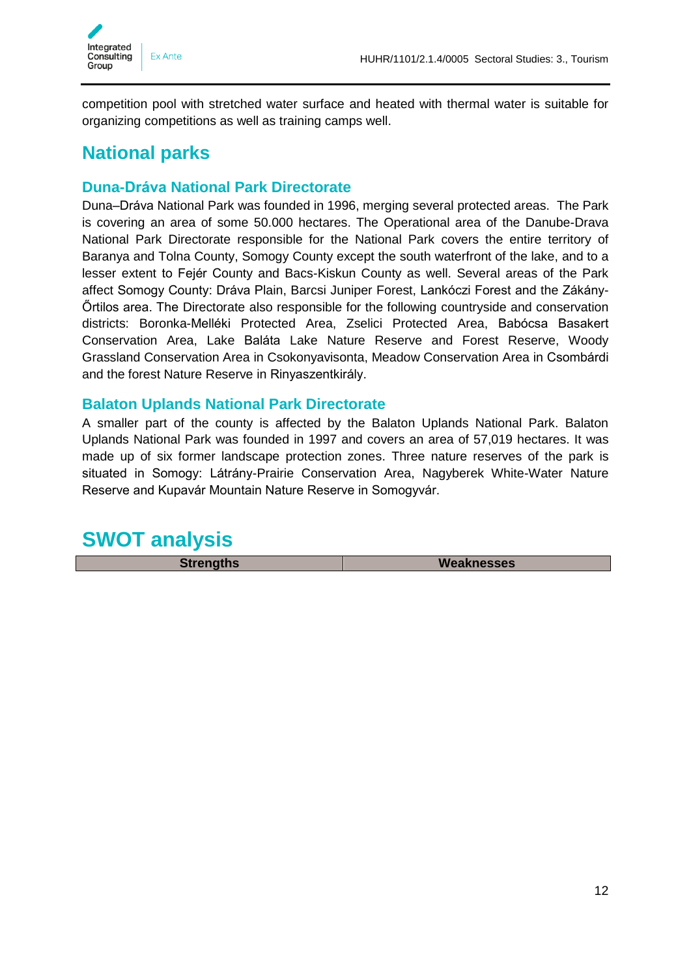

competition pool with stretched water surface and heated with thermal water is suitable for organizing competitions as well as training camps well.

### <span id="page-11-0"></span>**National parks**

#### <span id="page-11-1"></span>**Duna-Dráva National Park Directorate**

Duna–Dráva National Park was founded in 1996, merging several protected areas. The Park is covering an area of some 50.000 hectares. The Operational area of the Danube-Drava National Park Directorate responsible for the National Park covers the entire territory of Baranya and Tolna County, Somogy County except the south waterfront of the lake, and to a lesser extent to Fejér County and Bacs-Kiskun County as well. Several areas of the Park affect Somogy County: Dráva Plain, Barcsi Juniper Forest, Lankóczi Forest and the Zákány-Őrtilos area. The Directorate also responsible for the following countryside and conservation districts: Boronka-Melléki Protected Area, Zselici Protected Area, Babócsa Basakert Conservation Area, Lake Baláta Lake Nature Reserve and Forest Reserve, Woody Grassland Conservation Area in Csokonyavisonta, Meadow Conservation Area in Csombárdi and the forest Nature Reserve in Rinyaszentkirály.

#### <span id="page-11-2"></span>**Balaton Uplands National Park Directorate**

A smaller part of the county is affected by the Balaton Uplands National Park. Balaton Uplands National Park was founded in 1997 and covers an area of 57,019 hectares. It was made up of six former landscape protection zones. Three nature reserves of the park is situated in Somogy: Látrány-Prairie Conservation Area, Nagyberek White-Water Nature Reserve and Kupavár Mountain Nature Reserve in Somogyvár.

### <span id="page-11-3"></span>**SWOT analysis**

**Strengths Weaknesses**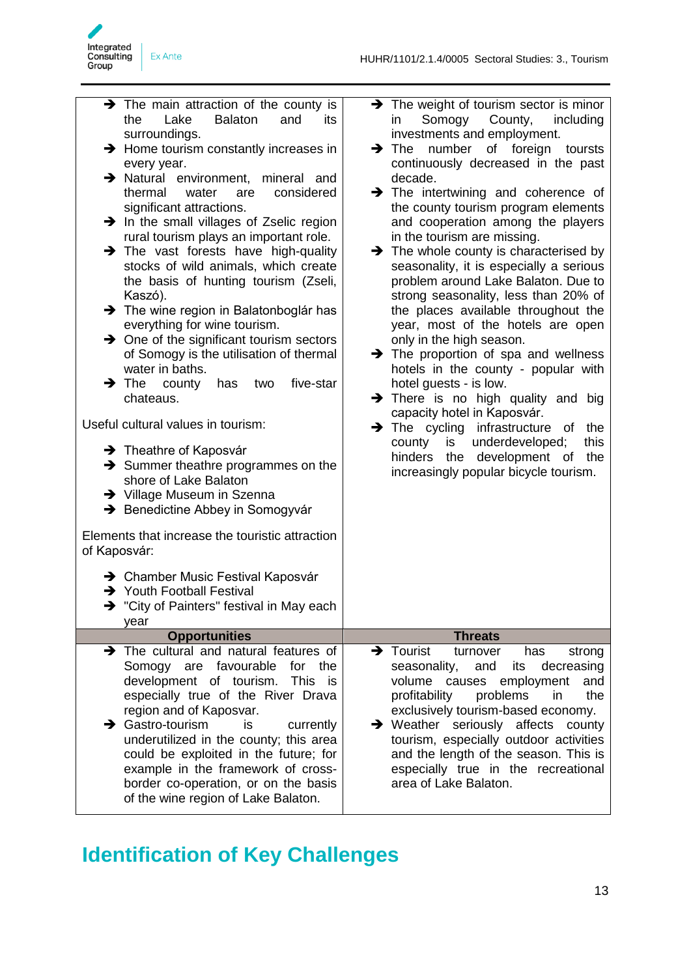

| $\rightarrow$ The main attraction of the county is<br>Lake<br><b>Balaton</b><br>and<br>the<br>its<br>surroundings.<br>$\rightarrow$ Home tourism constantly increases in<br>every year.<br>> Natural environment, mineral and<br>thermal<br>water<br>considered<br>are<br>significant attractions.<br>$\rightarrow$ In the small villages of Zselic region<br>rural tourism plays an important role.<br>$\rightarrow$ The vast forests have high-quality<br>stocks of wild animals, which create<br>the basis of hunting tourism (Zseli,<br>Kaszó).<br>> The wine region in Balatonboglár has<br>everything for wine tourism.<br>$\rightarrow$ One of the significant tourism sectors<br>of Somogy is the utilisation of thermal<br>water in baths.<br>five-star<br>$\rightarrow$ The<br>county<br>has<br>two<br>chateaus.<br>Useful cultural values in tourism:<br>$\rightarrow$ Theathre of Kaposvár<br>$\rightarrow$ Summer theathre programmes on the<br>shore of Lake Balaton<br>→ Village Museum in Szenna | > The weight of tourism sector is minor<br>Somogy<br>County,<br>including<br>in<br>investments and employment.<br>number of foreign toursts<br>$\rightarrow$ The<br>continuously decreased in the past<br>decade.<br>$\rightarrow$ The intertwining and coherence of<br>the county tourism program elements<br>and cooperation among the players<br>in the tourism are missing.<br>$\rightarrow$ The whole county is characterised by<br>seasonality, it is especially a serious<br>problem around Lake Balaton. Due to<br>strong seasonality, less than 20% of<br>the places available throughout the<br>year, most of the hotels are open<br>only in the high season.<br>$\rightarrow$ The proportion of spa and wellness<br>hotels in the county - popular with<br>hotel guests - is low.<br>> There is no high quality and big<br>capacity hotel in Kaposvár.<br>> The cycling infrastructure of the<br>underdeveloped;<br>county is<br>this<br>hinders the<br>development of<br>the<br>increasingly popular bicycle tourism. |
|------------------------------------------------------------------------------------------------------------------------------------------------------------------------------------------------------------------------------------------------------------------------------------------------------------------------------------------------------------------------------------------------------------------------------------------------------------------------------------------------------------------------------------------------------------------------------------------------------------------------------------------------------------------------------------------------------------------------------------------------------------------------------------------------------------------------------------------------------------------------------------------------------------------------------------------------------------------------------------------------------------------|-----------------------------------------------------------------------------------------------------------------------------------------------------------------------------------------------------------------------------------------------------------------------------------------------------------------------------------------------------------------------------------------------------------------------------------------------------------------------------------------------------------------------------------------------------------------------------------------------------------------------------------------------------------------------------------------------------------------------------------------------------------------------------------------------------------------------------------------------------------------------------------------------------------------------------------------------------------------------------------------------------------------------------------|
| → Benedictine Abbey in Somogyvár<br>Elements that increase the touristic attraction<br>of Kaposvár:                                                                                                                                                                                                                                                                                                                                                                                                                                                                                                                                                                                                                                                                                                                                                                                                                                                                                                              |                                                                                                                                                                                                                                                                                                                                                                                                                                                                                                                                                                                                                                                                                                                                                                                                                                                                                                                                                                                                                                   |
| → Chamber Music Festival Kaposvár<br>→ Youth Football Festival<br>$\rightarrow$ "City of Painters" festival in May each<br>year                                                                                                                                                                                                                                                                                                                                                                                                                                                                                                                                                                                                                                                                                                                                                                                                                                                                                  |                                                                                                                                                                                                                                                                                                                                                                                                                                                                                                                                                                                                                                                                                                                                                                                                                                                                                                                                                                                                                                   |
| <b>Opportunities</b>                                                                                                                                                                                                                                                                                                                                                                                                                                                                                                                                                                                                                                                                                                                                                                                                                                                                                                                                                                                             | <b>Threats</b>                                                                                                                                                                                                                                                                                                                                                                                                                                                                                                                                                                                                                                                                                                                                                                                                                                                                                                                                                                                                                    |
| $\rightarrow$ The cultural and natural features of<br>Somogy are favourable<br>for the<br>This<br>development of tourism.<br>is<br>especially true of the River Drava<br>region and of Kaposvar.<br>Gastro-tourism<br>is<br>currently<br>→<br>underutilized in the county; this area<br>could be exploited in the future; for<br>example in the framework of cross-<br>border co-operation, or on the basis<br>of the wine region of Lake Balaton.                                                                                                                                                                                                                                                                                                                                                                                                                                                                                                                                                               | $\rightarrow$ Tourist<br>has<br>turnover<br>strong<br>decreasing<br>its<br>seasonality,<br>and<br>volume causes<br>employment<br>and<br>profitability<br>problems<br>in<br>the<br>exclusively tourism-based economy.<br>$\rightarrow$ Weather seriously affects<br>county<br>tourism, especially outdoor activities<br>and the length of the season. This is<br>especially true in the recreational<br>area of Lake Balaton.                                                                                                                                                                                                                                                                                                                                                                                                                                                                                                                                                                                                      |

## <span id="page-12-0"></span>**Identification of Key Challenges**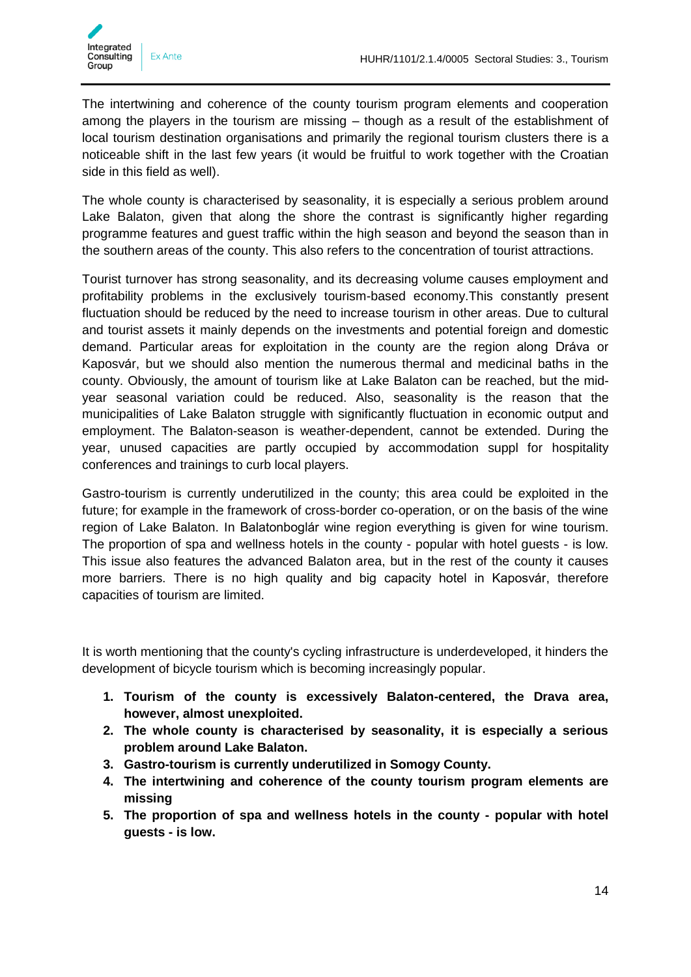

The intertwining and coherence of the county tourism program elements and cooperation among the players in the tourism are missing – though as a result of the establishment of local tourism destination organisations and primarily the regional tourism clusters there is a noticeable shift in the last few years (it would be fruitful to work together with the Croatian side in this field as well).

The whole county is characterised by seasonality, it is especially a serious problem around Lake Balaton, given that along the shore the contrast is significantly higher regarding programme features and guest traffic within the high season and beyond the season than in the southern areas of the county. This also refers to the concentration of tourist attractions.

Tourist turnover has strong seasonality, and its decreasing volume causes employment and profitability problems in the exclusively tourism-based economy.This constantly present fluctuation should be reduced by the need to increase tourism in other areas. Due to cultural and tourist assets it mainly depends on the investments and potential foreign and domestic demand. Particular areas for exploitation in the county are the region along Dráva or Kaposvár, but we should also mention the numerous thermal and medicinal baths in the county. Obviously, the amount of tourism like at Lake Balaton can be reached, but the midyear seasonal variation could be reduced. Also, seasonality is the reason that the municipalities of Lake Balaton struggle with significantly fluctuation in economic output and employment. The Balaton-season is weather-dependent, cannot be extended. During the year, unused capacities are partly occupied by accommodation suppl for hospitality conferences and trainings to curb local players.

Gastro-tourism is currently underutilized in the county; this area could be exploited in the future; for example in the framework of cross-border co-operation, or on the basis of the wine region of Lake Balaton. In Balatonboglár wine region everything is given for wine tourism. The proportion of spa and wellness hotels in the county - popular with hotel guests - is low. This issue also features the advanced Balaton area, but in the rest of the county it causes more barriers. There is no high quality and big capacity hotel in Kaposvár, therefore capacities of tourism are limited.

It is worth mentioning that the county's cycling infrastructure is underdeveloped, it hinders the development of bicycle tourism which is becoming increasingly popular.

- **1. Tourism of the county is excessively Balaton-centered, the Drava area, however, almost unexploited.**
- **2. The whole county is characterised by seasonality, it is especially a serious problem around Lake Balaton.**
- **3. Gastro-tourism is currently underutilized in Somogy County.**
- **4. The intertwining and coherence of the county tourism program elements are missing**
- **5. The proportion of spa and wellness hotels in the county - popular with hotel guests - is low.**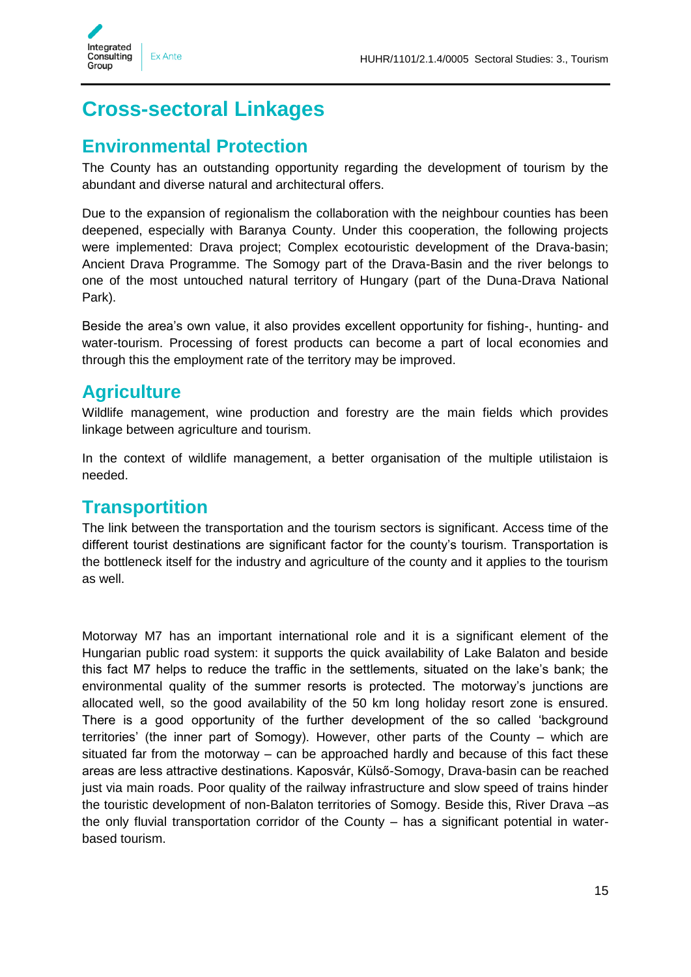

### <span id="page-14-0"></span>**Cross-sectoral Linkages**

### <span id="page-14-1"></span>**Environmental Protection**

The County has an outstanding opportunity regarding the development of tourism by the abundant and diverse natural and architectural offers.

Due to the expansion of regionalism the collaboration with the neighbour counties has been deepened, especially with Baranya County. Under this cooperation, the following projects were implemented: Drava project; Complex ecotouristic development of the Drava-basin; Ancient Drava Programme. The Somogy part of the Drava-Basin and the river belongs to one of the most untouched natural territory of Hungary (part of the Duna-Drava National Park).

Beside the area's own value, it also provides excellent opportunity for fishing-, hunting- and water-tourism. Processing of forest products can become a part of local economies and through this the employment rate of the territory may be improved.

### <span id="page-14-2"></span>**Agriculture**

Wildlife management, wine production and forestry are the main fields which provides linkage between agriculture and tourism.

In the context of wildlife management, a better organisation of the multiple utilistaion is needed.

### <span id="page-14-3"></span>**Transportition**

The link between the transportation and the tourism sectors is significant. Access time of the different tourist destinations are significant factor for the county's tourism. Transportation is the bottleneck itself for the industry and agriculture of the county and it applies to the tourism as well.

Motorway M7 has an important international role and it is a significant element of the Hungarian public road system: it supports the quick availability of Lake Balaton and beside this fact M7 helps to reduce the traffic in the settlements, situated on the lake's bank; the environmental quality of the summer resorts is protected. The motorway's junctions are allocated well, so the good availability of the 50 km long holiday resort zone is ensured. There is a good opportunity of the further development of the so called 'background territories' (the inner part of Somogy). However, other parts of the County – which are situated far from the motorway – can be approached hardly and because of this fact these areas are less attractive destinations. Kaposvár, Külső-Somogy, Drava-basin can be reached just via main roads. Poor quality of the railway infrastructure and slow speed of trains hinder the touristic development of non-Balaton territories of Somogy. Beside this, River Drava –as the only fluvial transportation corridor of the County – has a significant potential in waterbased tourism.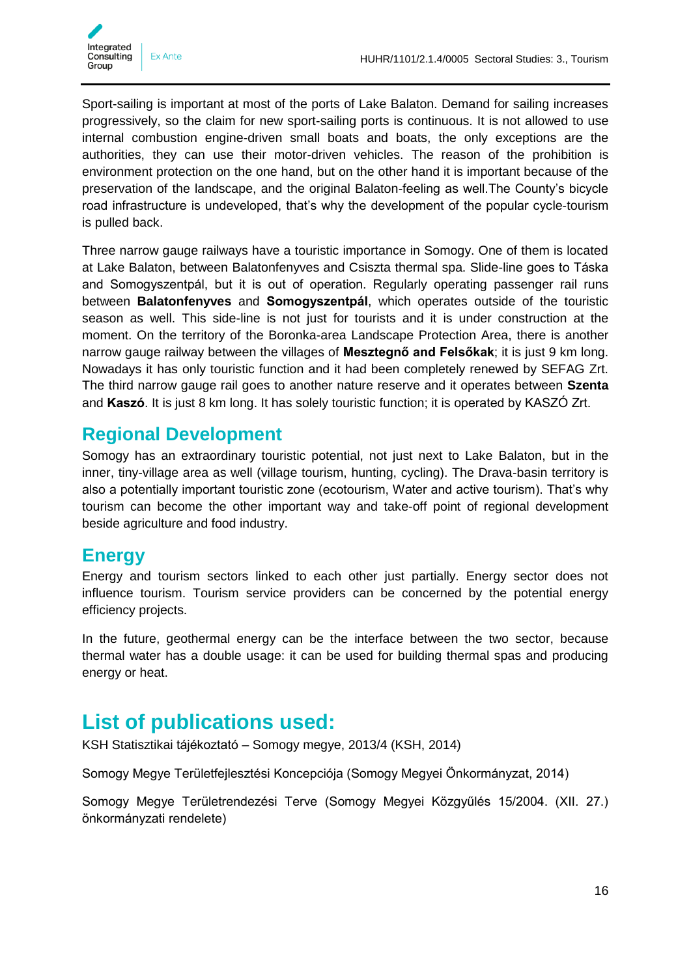

Sport-sailing is important at most of the ports of Lake Balaton. Demand for sailing increases progressively, so the claim for new sport-sailing ports is continuous. It is not allowed to use internal combustion engine-driven small boats and boats, the only exceptions are the authorities, they can use their motor-driven vehicles. The reason of the prohibition is environment protection on the one hand, but on the other hand it is important because of the preservation of the landscape, and the original Balaton-feeling as well.The County's bicycle road infrastructure is undeveloped, that's why the development of the popular cycle-tourism is pulled back.

Three narrow gauge railways have a touristic importance in Somogy. One of them is located at Lake Balaton, between Balatonfenyves and Csiszta thermal spa. Slide-line goes to Táska and Somogyszentpál, but it is out of operation. Regularly operating passenger rail runs between **Balatonfenyves** and **Somogyszentpál**, which operates outside of the touristic season as well. This side-line is not just for tourists and it is under construction at the moment. On the territory of the Boronka-area Landscape Protection Area, there is another narrow gauge railway between the villages of **Mesztegnő and Felsőkak**; it is just 9 km long. Nowadays it has only touristic function and it had been completely renewed by SEFAG Zrt. The third narrow gauge rail goes to another nature reserve and it operates between **Szenta** and **Kaszó**. It is just 8 km long. It has solely touristic function; it is operated by KASZÓ Zrt.

### <span id="page-15-0"></span>**Regional Development**

Somogy has an extraordinary touristic potential, not just next to Lake Balaton, but in the inner, tiny-village area as well (village tourism, hunting, cycling). The Drava-basin territory is also a potentially important touristic zone (ecotourism, Water and active tourism). That's why tourism can become the other important way and take-off point of regional development beside agriculture and food industry.

### <span id="page-15-1"></span>**Energy**

Energy and tourism sectors linked to each other just partially. Energy sector does not influence tourism. Tourism service providers can be concerned by the potential energy efficiency projects.

In the future, geothermal energy can be the interface between the two sector, because thermal water has a double usage: it can be used for building thermal spas and producing energy or heat.

### <span id="page-15-2"></span>**List of publications used:**

KSH Statisztikai tájékoztató – Somogy megye, 2013/4 (KSH, 2014)

Somogy Megye Területfejlesztési Koncepciója (Somogy Megyei Önkormányzat, 2014)

Somogy Megye Területrendezési Terve (Somogy Megyei Közgyűlés 15/2004. (XII. 27.) önkormányzati rendelete)